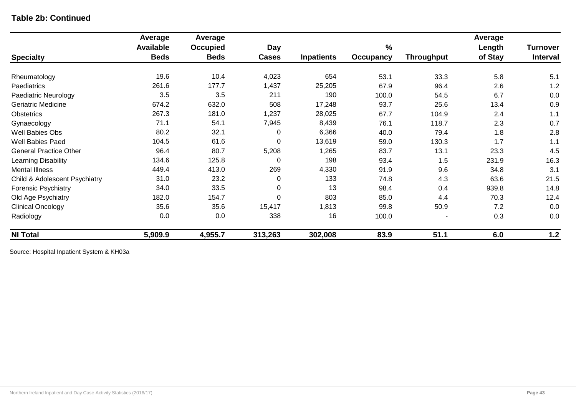### **Table 2b: Continued**

|                               | Average          | Average         |                  |                   |                  |                   | Average |                 |
|-------------------------------|------------------|-----------------|------------------|-------------------|------------------|-------------------|---------|-----------------|
|                               | <b>Available</b> | <b>Occupied</b> | <b>Day</b>       |                   | $\%$             |                   | Length  | <b>Turnover</b> |
| <b>Specialty</b>              | <b>Beds</b>      | <b>Beds</b>     | <b>Cases</b>     | <b>Inpatients</b> | <b>Occupancy</b> | <b>Throughput</b> | of Stay | <b>Interval</b> |
| Rheumatology                  | 19.6             | 10.4            | 4,023            | 654               | 53.1             | 33.3              | 5.8     | 5.1             |
| Paediatrics                   | 261.6            | 177.7           | 1,437            | 25,205            | 67.9             | 96.4              | 2.6     | 1.2             |
| Paediatric Neurology          | 3.5              | 3.5             | 211              | 190               | 100.0            | 54.5              | 6.7     | 0.0             |
| <b>Geriatric Medicine</b>     | 674.2            | 632.0           | 508              | 17,248            | 93.7             | 25.6              | 13.4    | 0.9             |
| Obstetrics                    | 267.3            | 181.0           | 1,237            | 28,025            | 67.7             | 104.9             | 2.4     | 1.1             |
| Gynaecology                   | 71.1             | 54.1            | 7,945            | 8,439             | 76.1             | 118.7             | 2.3     | 0.7             |
| Well Babies Obs               | 80.2             | 32.1            | 0                | 6,366             | 40.0             | 79.4              | 1.8     | 2.8             |
| Well Babies Paed              | 104.5            | 61.6            | $\mathbf 0$      | 13,619            | 59.0             | 130.3             | 1.7     | 1.1             |
| <b>General Practice Other</b> | 96.4             | 80.7            | 5,208            | 1,265             | 83.7             | 13.1              | 23.3    | 4.5             |
| Learning Disability           | 134.6            | 125.8           | $\mathbf 0$      | 198               | 93.4             | 1.5               | 231.9   | 16.3            |
| <b>Mental Illness</b>         | 449.4            | 413.0           | 269              | 4,330             | 91.9             | 9.6               | 34.8    | 3.1             |
| Child & Adolescent Psychiatry | 31.0             | 23.2            | 0                | 133               | 74.8             | 4.3               | 63.6    | 21.5            |
| <b>Forensic Psychiatry</b>    | 34.0             | 33.5            | $\pmb{0}$        | 13                | 98.4             | 0.4               | 939.8   | 14.8            |
| Old Age Psychiatry            | 182.0            | 154.7           | $\boldsymbol{0}$ | 803               | 85.0             | 4.4               | 70.3    | 12.4            |
| <b>Clinical Oncology</b>      | 35.6             | 35.6            | 15,417           | 1,813             | 99.8             | 50.9              | 7.2     | 0.0             |
| Radiology                     | 0.0              | 0.0             | 338              | 16                | 100.0            |                   | 0.3     | 0.0             |
| <b>NI Total</b>               | 5,909.9          | 4,955.7         | 313,263          | 302,008           | 83.9             | 51.1              | 6.0     | $1.2$           |

Source: Hospital Inpatient System & KH03a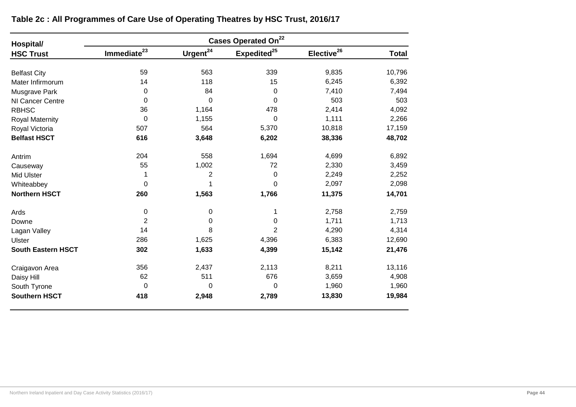| Hospital/                 | Cases Operated On <sup>22</sup> |                      |                         |                        |              |  |  |  |  |
|---------------------------|---------------------------------|----------------------|-------------------------|------------------------|--------------|--|--|--|--|
| <b>HSC Trust</b>          | Immediate <sup>23</sup>         | Urgent <sup>24</sup> | Expedited <sup>25</sup> | Elective <sup>26</sup> | <b>Total</b> |  |  |  |  |
| <b>Belfast City</b>       | 59                              | 563                  | 339                     | 9,835                  | 10,796       |  |  |  |  |
| Mater Infirmorum          | 14                              | 118                  | 15                      | 6,245                  | 6,392        |  |  |  |  |
| Musgrave Park             | 0                               | 84                   | $\mathbf 0$             | 7,410                  | 7,494        |  |  |  |  |
| NI Cancer Centre          | 0                               | 0                    | $\Omega$                | 503                    | 503          |  |  |  |  |
| <b>RBHSC</b>              | 36                              | 1,164                | 478                     | 2,414                  | 4,092        |  |  |  |  |
| Royal Maternity           | 0                               | 1,155                | $\Omega$                | 1,111                  | 2,266        |  |  |  |  |
| Royal Victoria            | 507                             | 564                  | 5,370                   | 10,818                 | 17,159       |  |  |  |  |
| <b>Belfast HSCT</b>       | 616                             | 3,648                | 6,202                   | 38,336                 | 48,702       |  |  |  |  |
| Antrim                    | 204                             | 558                  | 1,694                   | 4,699                  | 6,892        |  |  |  |  |
| Causeway                  | 55                              | 1,002                | 72                      | 2,330                  | 3,459        |  |  |  |  |
| <b>Mid Ulster</b>         | 1                               | $\overline{2}$       | 0                       | 2,249                  | 2,252        |  |  |  |  |
| Whiteabbey                | 0                               |                      | 0                       | 2,097                  | 2,098        |  |  |  |  |
| <b>Northern HSCT</b>      | 260                             | 1,563                | 1,766                   | 11,375                 | 14,701       |  |  |  |  |
| Ards                      | 0                               | 0                    | 1                       | 2,758                  | 2,759        |  |  |  |  |
| Downe                     | 2                               | 0                    | 0                       | 1,711                  | 1,713        |  |  |  |  |
| Lagan Valley              | 14                              | 8                    | $\overline{2}$          | 4,290                  | 4,314        |  |  |  |  |
| Ulster                    | 286                             | 1,625                | 4,396                   | 6,383                  | 12,690       |  |  |  |  |
| <b>South Eastern HSCT</b> | 302                             | 1,633                | 4,399                   | 15,142                 | 21,476       |  |  |  |  |
| Craigavon Area            | 356                             | 2,437                | 2,113                   | 8,211                  | 13,116       |  |  |  |  |
| Daisy Hill                | 62                              | 511                  | 676                     | 3,659                  | 4,908        |  |  |  |  |
| South Tyrone              | 0                               | 0                    | 0                       | 1,960                  | 1,960        |  |  |  |  |
| <b>Southern HSCT</b>      | 418                             | 2,948                | 2,789                   | 13,830                 | 19,984       |  |  |  |  |

**Table 2c : All Programmes of Care Use of Operating Theatres by HSC Trust, 2016/17**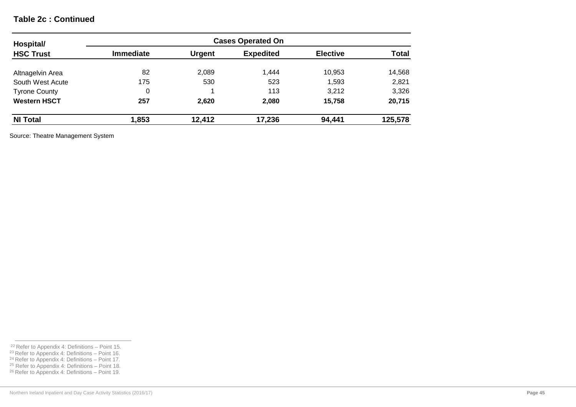### **Table 2c : Continued**

| Hospital/<br><b>HSC Trust</b> | <b>Cases Operated On</b> |               |                  |                 |              |  |  |  |
|-------------------------------|--------------------------|---------------|------------------|-----------------|--------------|--|--|--|
|                               | <b>Immediate</b>         | <b>Urgent</b> | <b>Expedited</b> | <b>Elective</b> | <b>Total</b> |  |  |  |
| Altnagelvin Area              | 82                       | 2,089         | 1.444            | 10,953          | 14,568       |  |  |  |
| South West Acute              | 175                      | 530           | 523              | 1,593           | 2,821        |  |  |  |
| <b>Tyrone County</b>          | 0                        |               | 113              | 3,212           | 3,326        |  |  |  |
| <b>Western HSCT</b>           | 257                      | 2,620         | 2,080            | 15,758          | 20,715       |  |  |  |
| <b>NI Total</b>               | 1,853                    | 12,412        | 17,236           | 94,441          | 125,578      |  |  |  |

Source: Theatre Management System

 $22$  Refer to Appendix 4: Definitions – Point 15.

<sup>&</sup>lt;sup>23</sup> Refer to Appendix 4: Definitions – Point 16.

<sup>&</sup>lt;sup>24</sup> Refer to Appendix 4: Definitions – Point 17.

<sup>&</sup>lt;sup>25</sup> Refer to Appendix 4: Definitions – Point 18. <sup>26</sup> Refer to Appendix 4: Definitions – Point 19.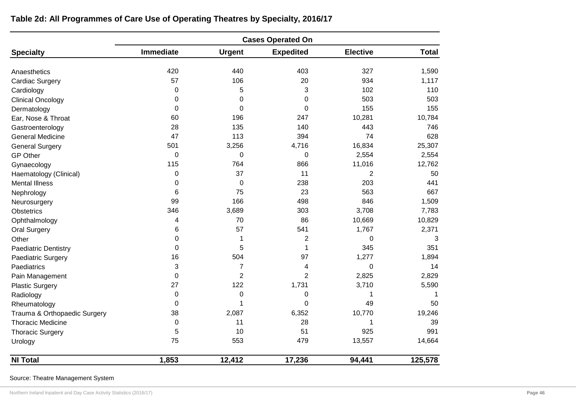|                              | <b>Cases Operated On</b> |                |                  |                 |              |  |  |  |  |
|------------------------------|--------------------------|----------------|------------------|-----------------|--------------|--|--|--|--|
| <b>Specialty</b>             | <b>Immediate</b>         | <b>Urgent</b>  | <b>Expedited</b> | <b>Elective</b> | <b>Total</b> |  |  |  |  |
| Anaesthetics                 | 420                      | 440            | 403              | 327             | 1,590        |  |  |  |  |
| <b>Cardiac Surgery</b>       | 57                       | 106            | 20               | 934             | 1,117        |  |  |  |  |
| Cardiology                   | 0                        | 5              | 3                | 102             | 110          |  |  |  |  |
| <b>Clinical Oncology</b>     | 0                        | 0              | 0                | 503             | 503          |  |  |  |  |
| Dermatology                  | $\Omega$                 | 0              | 0                | 155             | 155          |  |  |  |  |
| Ear, Nose & Throat           | 60                       | 196            | 247              | 10,281          | 10,784       |  |  |  |  |
| Gastroenterology             | 28                       | 135            | 140              | 443             | 746          |  |  |  |  |
| <b>General Medicine</b>      | 47                       | 113            | 394              | 74              | 628          |  |  |  |  |
| <b>General Surgery</b>       | 501                      | 3,256          | 4,716            | 16,834          | 25,307       |  |  |  |  |
| <b>GP Other</b>              | 0                        | 0              | 0                | 2,554           | 2,554        |  |  |  |  |
| Gynaecology                  | 115                      | 764            | 866              | 11,016          | 12,762       |  |  |  |  |
| Haematology (Clinical)       | 0                        | 37             | 11               | $\overline{2}$  | 50           |  |  |  |  |
| <b>Mental Illness</b>        | 0                        | 0              | 238              | 203             | 441          |  |  |  |  |
| Nephrology                   | 6                        | 75             | 23               | 563             | 667          |  |  |  |  |
| Neurosurgery                 | 99                       | 166            | 498              | 846             | 1,509        |  |  |  |  |
| Obstetrics                   | 346                      | 3,689          | 303              | 3,708           | 7,783        |  |  |  |  |
| Ophthalmology                | 4                        | 70             | 86               | 10,669          | 10,829       |  |  |  |  |
| <b>Oral Surgery</b>          | 6                        | 57             | 541              | 1,767           | 2,371        |  |  |  |  |
| Other                        | 0                        | 1              | 2                | 0               | 3            |  |  |  |  |
| <b>Paediatric Dentistry</b>  | 0                        | 5              | 1                | 345             | 351          |  |  |  |  |
| Paediatric Surgery           | 16                       | 504            | 97               | 1,277           | 1,894        |  |  |  |  |
| Paediatrics                  | 3                        | $\overline{7}$ | 4                | 0               | 14           |  |  |  |  |
| Pain Management              | $\Omega$                 | $\overline{2}$ | $\overline{2}$   | 2,825           | 2,829        |  |  |  |  |
| <b>Plastic Surgery</b>       | 27                       | 122            | 1,731            | 3,710           | 5,590        |  |  |  |  |
| Radiology                    | 0                        | 0              | 0                | 1               |              |  |  |  |  |
| Rheumatology                 | 0                        | 1              | 0                | 49              | 50           |  |  |  |  |
| Trauma & Orthopaedic Surgery | 38                       | 2,087          | 6,352            | 10,770          | 19,246       |  |  |  |  |
| <b>Thoracic Medicine</b>     | 0                        | 11             | 28               | 1               | 39           |  |  |  |  |
| <b>Thoracic Surgery</b>      | 5                        | 10             | 51               | 925             | 991          |  |  |  |  |
| Urology                      | 75                       | 553            | 479              | 13,557          | 14,664       |  |  |  |  |
| <b>NI Total</b>              | 1,853                    | 12,412         | 17,236           | 94,441          | 125,578      |  |  |  |  |

**Table 2d: All Programmes of Care Use of Operating Theatres by Specialty, 2016/17** 

Source: Theatre Management System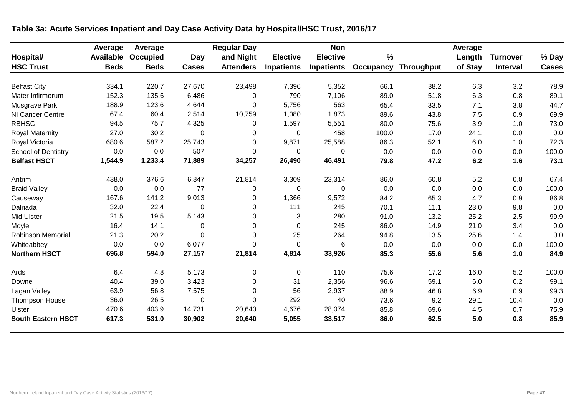|                            | Average     | Average         |              | <b>Regular Day</b> |                   | <b>Non</b>        |                  |                   | Average |                 |              |
|----------------------------|-------------|-----------------|--------------|--------------------|-------------------|-------------------|------------------|-------------------|---------|-----------------|--------------|
| Hospital/                  | Available   | <b>Occupied</b> | Day          | and Night          | <b>Elective</b>   | <b>Elective</b>   | $\%$             |                   | Length  | <b>Turnover</b> | % Day        |
| <b>HSC Trust</b>           | <b>Beds</b> | <b>Beds</b>     | <b>Cases</b> | <b>Attenders</b>   | <b>Inpatients</b> | <b>Inpatients</b> | <b>Occupancy</b> | <b>Throughput</b> | of Stay | <b>Interval</b> | <b>Cases</b> |
| <b>Belfast City</b>        | 334.1       | 220.7           | 27,670       | 23,498             | 7,396             | 5,352             | 66.1             | 38.2              | 6.3     | 3.2             | 78.9         |
| Mater Infirmorum           | 152.3       | 135.6           | 6,486        | 0                  | 790               | 7,106             | 89.0             | 51.8              | 6.3     | 0.8             | 89.1         |
| Musgrave Park              | 188.9       | 123.6           | 4,644        | 0                  | 5,756             | 563               | 65.4             | 33.5              | 7.1     | 3.8             | 44.7         |
| NI Cancer Centre           | 67.4        | 60.4            | 2,514        | 10,759             | 1,080             | 1,873             | 89.6             | 43.8              | 7.5     | 0.9             | 69.9         |
| <b>RBHSC</b>               | 94.5        | 75.7            | 4,325        | 0                  | 1,597             | 5,551             | 80.0             | 75.6              | 3.9     | 1.0             | 73.0         |
| <b>Royal Maternity</b>     | 27.0        | 30.2            | 0            | 0                  | 0                 | 458               | 100.0            | 17.0              | 24.1    | 0.0             | 0.0          |
| Royal Victoria             | 680.6       | 587.2           | 25,743       | 0                  | 9,871             | 25,588            | 86.3             | 52.1              | 6.0     | 1.0             | 72.3         |
| <b>School of Dentistry</b> | 0.0         | 0.0             | 507          | $\mathbf{0}$       | 0                 | 0                 | 0.0              | 0.0               | 0.0     | 0.0             | 100.0        |
| <b>Belfast HSCT</b>        | 1,544.9     | 1,233.4         | 71,889       | 34,257             | 26,490            | 46,491            | 79.8             | 47.2              | 6.2     | 1.6             | 73.1         |
| Antrim                     | 438.0       | 376.6           | 6,847        | 21,814             | 3,309             | 23,314            | 86.0             | 60.8              | 5.2     | 0.8             | 67.4         |
| <b>Braid Valley</b>        | 0.0         | 0.0             | 77           | $\Omega$           | 0                 | $\Omega$          | 0.0              | 0.0               | 0.0     | 0.0             | 100.0        |
| Causeway                   | 167.6       | 141.2           | 9,013        | 0                  | 1,366             | 9,572             | 84.2             | 65.3              | 4.7     | 0.9             | 86.8         |
| Dalriada                   | 32.0        | 22.4            | $\Omega$     | $\mathbf 0$        | 111               | 245               | 70.1             | 11.1              | 23.0    | 9.8             | 0.0          |
| <b>Mid Ulster</b>          | 21.5        | 19.5            | 5,143        | 0                  | 3                 | 280               | 91.0             | 13.2              | 25.2    | 2.5             | 99.9         |
| Moyle                      | 16.4        | 14.1            | 0            | 0                  | 0                 | 245               | 86.0             | 14.9              | 21.0    | 3.4             | 0.0          |
| Robinson Memorial          | 21.3        | 20.2            | $\Omega$     | $\mathbf 0$        | 25                | 264               | 94.8             | 13.5              | 25.6    | 1.4             | 0.0          |
| Whiteabbey                 | 0.0         | 0.0             | 6,077        | $\Omega$           | $\mathbf 0$       | 6                 | 0.0              | 0.0               | 0.0     | 0.0             | 100.0        |
| <b>Northern HSCT</b>       | 696.8       | 594.0           | 27,157       | 21,814             | 4,814             | 33,926            | 85.3             | 55.6              | 5.6     | 1.0             | 84.9         |
| Ards                       | 6.4         | 4.8             | 5,173        | 0                  | 0                 | 110               | 75.6             | 17.2              | 16.0    | 5.2             | 100.0        |
| Downe                      | 40.4        | 39.0            | 3,423        | 0                  | 31                | 2,356             | 96.6             | 59.1              | 6.0     | 0.2             | 99.1         |
| Lagan Valley               | 63.9        | 56.8            | 7,575        | $\mathbf 0$        | 56                | 2,937             | 88.9             | 46.8              | 6.9     | 0.9             | 99.3         |
| <b>Thompson House</b>      | 36.0        | 26.5            | $\Omega$     | $\Omega$           | 292               | 40                | 73.6             | 9.2               | 29.1    | 10.4            | 0.0          |
| Ulster                     | 470.6       | 403.9           | 14,731       | 20,640             | 4,676             | 28,074            | 85.8             | 69.6              | 4.5     | 0.7             | 75.9         |
| <b>South Eastern HSCT</b>  | 617.3       | 531.0           | 30,902       | 20,640             | 5,055             | 33,517            | 86.0             | 62.5              | 5.0     | 0.8             | 85.9         |

# **Table 3a: Acute Services Inpatient and Day Case Activity Data by Hospital/HSC Trust, 2016/17**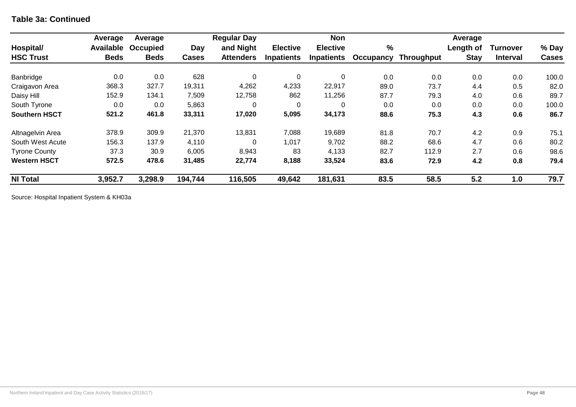### **Table 3a: Continued**

|                      | Average     | Average     |              | <b>Regular Day</b> |                   | <b>Non</b>        |           |                   | Average     |                 |              |
|----------------------|-------------|-------------|--------------|--------------------|-------------------|-------------------|-----------|-------------------|-------------|-----------------|--------------|
| Hospital/            | Available   | Occupied    | Day          | and Night          | <b>Elective</b>   | <b>Elective</b>   | %         |                   | Length of   | Turnover        | % Day        |
| <b>HSC Trust</b>     | <b>Beds</b> | <b>Beds</b> | <b>Cases</b> | <b>Attenders</b>   | <b>Inpatients</b> | <b>Inpatients</b> | Occupancy | <b>Throughput</b> | <b>Stay</b> | <b>Interval</b> | <b>Cases</b> |
| Banbridge            | 0.0         | 0.0         | 628          | 0                  | 0                 | $\overline{0}$    | 0.0       | 0.0               | 0.0         | 0.0             | 100.0        |
| Craigavon Area       | 368.3       | 327.7       | 19,311       | 4,262              | 4,233             | 22,917            | 89.0      | 73.7              | 4.4         | 0.5             | 82.0         |
| Daisy Hill           | 152.9       | 134.1       | 7,509        | 12,758             | 862               | 11,256            | 87.7      | 79.3              | 4.0         | 0.6             | 89.7         |
| South Tyrone         | 0.0         | 0.0         | 5,863        | $\Omega$           | $\Omega$          | $\Omega$          | 0.0       | 0.0               | 0.0         | 0.0             | 100.0        |
| <b>Southern HSCT</b> | 521.2       | 461.8       | 33,311       | 17,020             | 5,095             | 34,173            | 88.6      | 75.3              | 4.3         | 0.6             | 86.7         |
| Altnagelvin Area     | 378.9       | 309.9       | 21,370       | 13,831             | 7,088             | 19,689            | 81.8      | 70.7              | 4.2         | 0.9             | 75.1         |
| South West Acute     | 156.3       | 137.9       | 4,110        | $\Omega$           | 1,017             | 9,702             | 88.2      | 68.6              | 4.7         | 0.6             | 80.2         |
| <b>Tyrone County</b> | 37.3        | 30.9        | 6,005        | 8,943              | 83                | 4,133             | 82.7      | 112.9             | 2.7         | 0.6             | 98.6         |
| <b>Western HSCT</b>  | 572.5       | 478.6       | 31,485       | 22,774             | 8,188             | 33,524            | 83.6      | 72.9              | 4.2         | 0.8             | 79.4         |
| <b>NI Total</b>      | 3,952.7     | 3,298.9     | 194,744      | 116,505            | 49,642            | 181,631           | 83.5      | 58.5              | 5.2         | 1.0             | 79.7         |

Source: Hospital Inpatient System & KH03a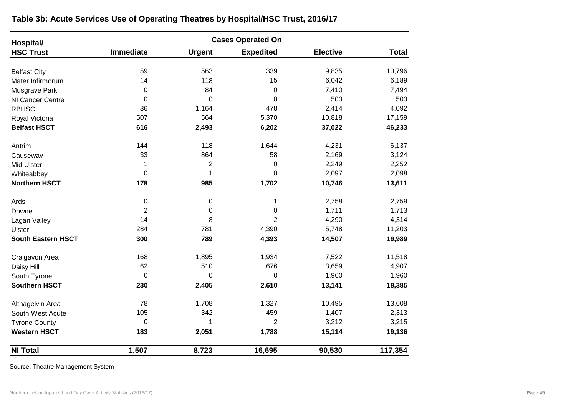| Hospital/                 |                  |                | <b>Cases Operated On</b> |                 |              |
|---------------------------|------------------|----------------|--------------------------|-----------------|--------------|
| <b>HSC Trust</b>          | <b>Immediate</b> | <b>Urgent</b>  | <b>Expedited</b>         | <b>Elective</b> | <b>Total</b> |
| <b>Belfast City</b>       | 59               | 563            | 339                      | 9,835           | 10,796       |
| Mater Infirmorum          | 14               | 118            | 15                       | 6,042           | 6,189        |
| Musgrave Park             | 0                | 84             | $\mathbf 0$              | 7,410           | 7,494        |
| NI Cancer Centre          | $\mathbf 0$      | $\overline{0}$ | $\overline{0}$           | 503             | 503          |
| <b>RBHSC</b>              | 36               | 1,164          | 478                      | 2,414           | 4,092        |
| Royal Victoria            | 507              | 564            | 5,370                    | 10,818          | 17,159       |
| <b>Belfast HSCT</b>       | 616              | 2,493          | 6,202                    | 37,022          | 46,233       |
| Antrim                    | 144              | 118            | 1,644                    | 4,231           | 6,137        |
| Causeway                  | 33               | 864            | 58                       | 2,169           | 3,124        |
| <b>Mid Ulster</b>         | 1                | $\overline{2}$ | 0                        | 2,249           | 2,252        |
| Whiteabbey                | 0                | 1              | $\Omega$                 | 2,097           | 2,098        |
| <b>Northern HSCT</b>      | 178              | 985            | 1,702                    | 10,746          | 13,611       |
| Ards                      | 0                | 0              | 1                        | 2,758           | 2,759        |
| Downe                     | $\overline{2}$   | 0              | 0                        | 1,711           | 1,713        |
| Lagan Valley              | 14               | 8              | $\overline{2}$           | 4,290           | 4,314        |
| Ulster                    | 284              | 781            | 4,390                    | 5,748           | 11,203       |
| <b>South Eastern HSCT</b> | 300              | 789            | 4,393                    | 14,507          | 19,989       |
| Craigavon Area            | 168              | 1,895          | 1,934                    | 7,522           | 11,518       |
| Daisy Hill                | 62               | 510            | 676                      | 3,659           | 4,907        |
| South Tyrone              | $\mathbf 0$      | 0              | $\mathbf 0$              | 1,960           | 1,960        |
| <b>Southern HSCT</b>      | 230              | 2,405          | 2,610                    | 13,141          | 18,385       |
| Altnagelvin Area          | 78               | 1,708          | 1,327                    | 10,495          | 13,608       |
| South West Acute          | 105              | 342            | 459                      | 1,407           | 2,313        |
| <b>Tyrone County</b>      | 0                | 1              | $\overline{2}$           | 3,212           | 3,215        |
| <b>Western HSCT</b>       | 183              | 2,051          | 1,788                    | 15,114          | 19,136       |
| <b>NI Total</b>           | 1,507            | 8,723          | 16,695                   | 90,530          | 117,354      |

**Table 3b: Acute Services Use of Operating Theatres by Hospital/HSC Trust, 2016/17** 

Source: Theatre Management System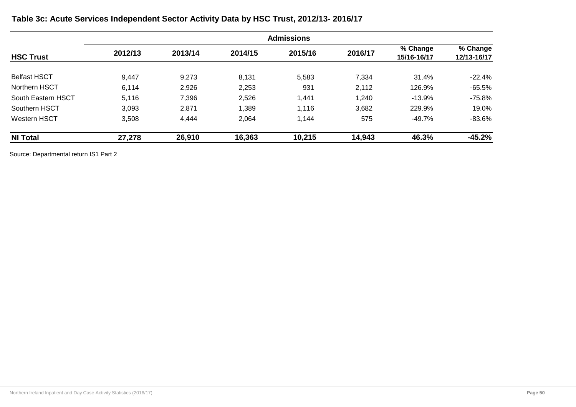|                     |         | <b>Admissions</b> |         |         |         |                         |                         |  |  |
|---------------------|---------|-------------------|---------|---------|---------|-------------------------|-------------------------|--|--|
| <b>HSC Trust</b>    | 2012/13 | 2013/14           | 2014/15 | 2015/16 | 2016/17 | % Change<br>15/16-16/17 | % Change<br>12/13-16/17 |  |  |
| <b>Belfast HSCT</b> | 9,447   | 9,273             | 8,131   | 5,583   | 7,334   | 31.4%                   | $-22.4\%$               |  |  |
| Northern HSCT       | 6,114   | 2,926             | 2,253   | 931     | 2,112   | 126.9%                  | $-65.5%$                |  |  |
| South Eastern HSCT  | 5,116   | 7,396             | 2,526   | 1,441   | 1,240   | $-13.9%$                | -75.8%                  |  |  |
| Southern HSCT       | 3,093   | 2,871             | 1,389   | 1,116   | 3,682   | 229.9%                  | 19.0%                   |  |  |
| <b>Western HSCT</b> | 3,508   | 4,444             | 2,064   | 1,144   | 575     | -49.7%                  | -83.6%                  |  |  |
| <b>NI Total</b>     | 27,278  | 26,910            | 16,363  | 10,215  | 14,943  | 46.3%                   | $-45.2%$                |  |  |

**Table 3c: Acute Services Independent Sector Activity Data by HSC Trust, 2012/13- 2016/17** 

Source: Departmental return IS1 Part 2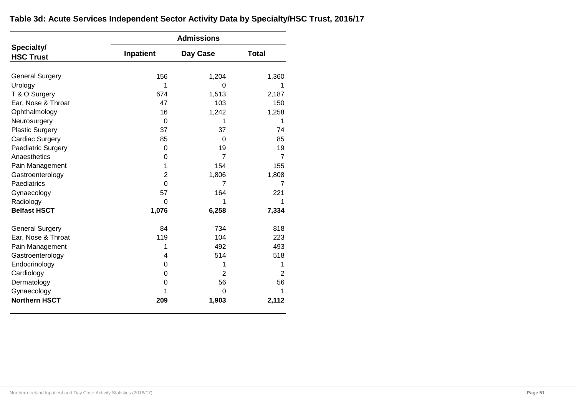|                                | <b>Admissions</b> |                |                |  |  |  |  |
|--------------------------------|-------------------|----------------|----------------|--|--|--|--|
| Specialty/<br><b>HSC Trust</b> | Inpatient         | Day Case       | <b>Total</b>   |  |  |  |  |
|                                |                   |                |                |  |  |  |  |
| <b>General Surgery</b>         | 156               | 1,204          | 1,360          |  |  |  |  |
| Urology                        | 1                 | 0              | 1              |  |  |  |  |
| T & O Surgery                  | 674               | 1,513          | 2,187          |  |  |  |  |
| Ear, Nose & Throat             | 47                | 103            | 150            |  |  |  |  |
| Ophthalmology                  | 16                | 1,242          | 1,258          |  |  |  |  |
| Neurosurgery                   | $\Omega$          | 1              | 1              |  |  |  |  |
| <b>Plastic Surgery</b>         | 37                | 37             | 74             |  |  |  |  |
| Cardiac Surgery                | 85                | 0              | 85             |  |  |  |  |
| Paediatric Surgery             | 0                 | 19             | 19             |  |  |  |  |
| Anaesthetics                   | 0                 | $\overline{7}$ | $\overline{7}$ |  |  |  |  |
| Pain Management                | 1                 | 154            | 155            |  |  |  |  |
| Gastroenterology               | $\overline{2}$    | 1,806          | 1,808          |  |  |  |  |
| Paediatrics                    | $\Omega$          | $\overline{7}$ | 7              |  |  |  |  |
| Gynaecology                    | 57                | 164            | 221            |  |  |  |  |
| Radiology                      | $\Omega$          | 1              | 1              |  |  |  |  |
| <b>Belfast HSCT</b>            | 1,076             | 6,258          | 7,334          |  |  |  |  |
| <b>General Surgery</b>         | 84                | 734            | 818            |  |  |  |  |
| Ear, Nose & Throat             | 119               | 104            | 223            |  |  |  |  |
| Pain Management                | 1                 | 492            | 493            |  |  |  |  |
| Gastroenterology               | 4                 | 514            | 518            |  |  |  |  |
| Endocrinology                  | 0                 | 1              | 1              |  |  |  |  |
| Cardiology                     | 0                 | 2              | $\overline{2}$ |  |  |  |  |
| Dermatology                    | 0                 | 56             | 56             |  |  |  |  |
| Gynaecology                    | 1                 | 0              | 1              |  |  |  |  |
| <b>Northern HSCT</b>           | 209               | 1,903          | 2,112          |  |  |  |  |

## **Table 3d: Acute Services Independent Sector Activity Data by Specialty/HSC Trust, 2016/17**